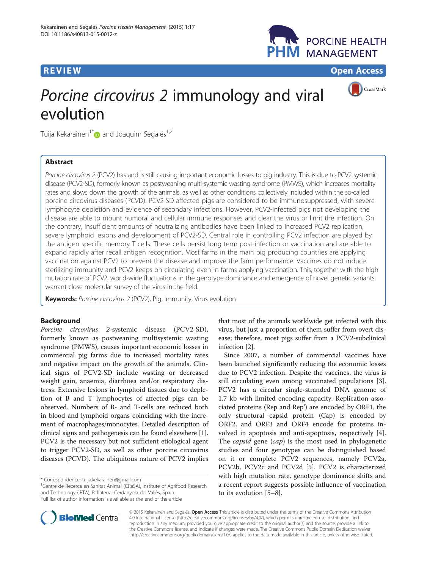## **REVIEW CONSTRUCTION CONSTRUCTION CONSTRUCTION CONSTRUCTS**



CrossMark

# Porcine circovirus 2 immunology and viral evolution

Tuija Kekarainen<sup>1[\\*](http://orcid.org/0000-0002-0392-4706)</sup> and Joaquim Segalés<sup>1,2</sup>

## Abstract

Porcine circovirus 2 (PCV2) has and is still causing important economic losses to pig industry. This is due to PCV2-systemic disease (PCV2-SD), formerly known as postweaning multi-systemic wasting syndrome (PMWS), which increases mortality rates and slows down the growth of the animals, as well as other conditions collectively included within the so-called porcine circovirus diseases (PCVD). PCV2-SD affected pigs are considered to be immunosuppressed, with severe lymphocyte depletion and evidence of secondary infections. However, PCV2-infected pigs not developing the disease are able to mount humoral and cellular immune responses and clear the virus or limit the infection. On the contrary, insufficient amounts of neutralizing antibodies have been linked to increased PCV2 replication, severe lymphoid lesions and development of PCV2-SD. Central role in controlling PCV2 infection are played by the antigen specific memory T cells. These cells persist long term post-infection or vaccination and are able to expand rapidly after recall antigen recognition. Most farms in the main pig producing countries are applying vaccination against PCV2 to prevent the disease and improve the farm performance. Vaccines do not induce sterilizing immunity and PCV2 keeps on circulating even in farms applying vaccination. This, together with the high mutation rate of PCV2, world-wide fluctuations in the genotype dominance and emergence of novel genetic variants, warrant close molecular survey of the virus in the field.

Keywords: Porcine circovirus 2 (PCV2), Pig, Immunity, Virus evolution

## Background

Porcine circovirus 2-systemic disease (PCV2-SD), formerly known as postweaning multisystemic wasting syndrome (PMWS), causes important economic losses in commercial pig farms due to increased mortality rates and negative impact on the growth of the animals. Clinical signs of PCV2-SD include wasting or decreased weight gain, anaemia, diarrhoea and/or respiratory distress. Extensive lesions in lymphoid tissues due to depletion of B and T lymphocytes of affected pigs can be observed. Numbers of B- and T-cells are reduced both in blood and lymphoid organs coinciding with the increment of macrophages/monocytes. Detailed description of clinical signs and pathogenesis can be found elsewhere [[1](#page-3-0)]. PCV2 is the necessary but not sufficient etiological agent to trigger PCV2-SD, as well as other porcine circovirus diseases (PCVD). The ubiquitous nature of PCV2 implies

<sup>1</sup> Centre de Recerca en Sanitat Animal (CReSA), Institute of Agrifood Research and Technology (IRTA), Bellaterra, Cerdanyola del Vallès, Spain Full list of author information is available at the end of the article

that most of the animals worldwide get infected with this virus, but just a proportion of them suffer from overt disease; therefore, most pigs suffer from a PCV2-subclinical infection [[2](#page-3-0)].

Since 2007, a number of commercial vaccines have been launched significantly reducing the economic losses due to PCV2 infection. Despite the vaccines, the virus is still circulating even among vaccinated populations [\[3](#page-3-0)]. PCV2 has a circular single-stranded DNA genome of 1.7 kb with limited encoding capacity. Replication associated proteins (Rep and Rep') are encoded by ORF1, the only structural capsid protein (Cap) is encoded by ORF2, and ORF3 and ORF4 encode for proteins involved in apoptosis and anti-apoptosis, respectively [\[4](#page-3-0)]. The *capsid* gene (*cap*) is the most used in phylogenetic studies and four genotypes can be distinguished based on it or complete PCV2 sequences, namely PCV2a, PCV2b, PCV2c and PCV2d [\[5](#page-3-0)]. PCV2 is characterized with high mutation rate, genotype dominance shifts and a recent report suggests possible influence of vaccination to its evolution [[5](#page-3-0)–[8\]](#page-4-0).



© 2015 Kekarainen and Segalés. Open Access This article is distributed under the terms of the Creative Commons Attribution 4.0 International License ([http://creativecommons.org/licenses/by/4.0/\)](http://creativecommons.org/licenses/by/4.0/), which permits unrestricted use, distribution, and reproduction in any medium, provided you give appropriate credit to the original author(s) and the source, provide a link to the Creative Commons license, and indicate if changes were made. The Creative Commons Public Domain Dedication waiver [\(http://creativecommons.org/publicdomain/zero/1.0/](http://creativecommons.org/publicdomain/zero/1.0/)) applies to the data made available in this article, unless otherwise stated.

<sup>\*</sup> Correspondence: [tuija.kekarainen@gmail.com](mailto:tuija.kekarainen@gmail.com) <sup>1</sup>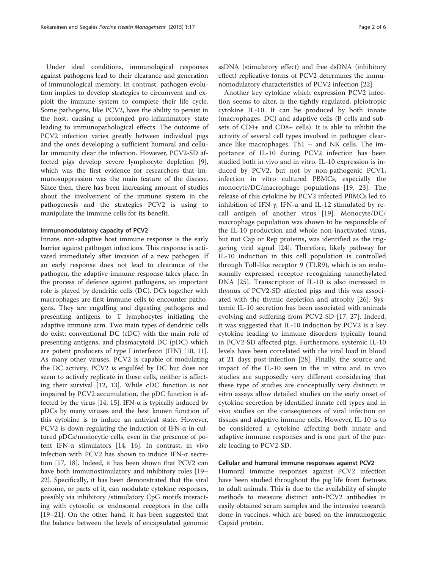Under ideal conditions, immunological responses against pathogens lead to their clearance and generation of immunological memory. In contrast, pathogen evolution implies to develop strategies to circumvent and exploit the immune system to complete their life cycle. Some pathogens, like PCV2, have the ability to persist in the host, causing a prolonged pro-inflammatory state leading to immunopathological effects. The outcome of PCV2 infection varies greatly between individual pigs and the ones developing a sufficient humoral and cellular immunity clear the infection. However, PCV2-SD affected pigs develop severe lymphocyte depletion [\[9](#page-4-0)], which was the first evidence for researchers that immunosuppression was the main feature of the disease. Since then, there has been increasing amount of studies about the involvement of the immune system in the pathogenesis and the strategies PCV2 is using to manipulate the immune cells for its benefit.

#### Immunomodulatory capacity of PCV2

Innate, non-adaptive host immune response is the early barrier against pathogen infections. This response is activated immediately after invasion of a new pathogen. If an early response does not lead to clearance of the pathogen, the adaptive immune response takes place. In the process of defence against pathogens, an important role is played by dendritic cells (DC). DCs together with macrophages are first immune cells to encounter pathogens. They are engulfing and digesting pathogens and presenting antigens to T lymphocytes initiating the adaptive immune arm. Two main types of dendritic cells do exist: conventional DC (cDC) with the main role of presenting antigens, and plasmacytoid DC (pDC) which are potent producers of type I interferon (IFN) [[10, 11](#page-4-0)]. As many other viruses, PCV2 is capable of modulating the DC activity. PCV2 is engulfed by DC but does not seem to actively replicate in these cells, neither is affecting their survival [\[12](#page-4-0), [13](#page-4-0)]. While cDC function is not impaired by PCV2 accumulation, the pDC function is af-fected by the virus [[14](#page-4-0), [15](#page-4-0)]. IFN- $\alpha$  is typically induced by pDCs by many viruses and the best known function of this cytokine is to induce an antiviral state. However, PCV2 is down-regulating the induction of IFN- $\alpha$  in cultured pDCs/monocytic cells, even in the presence of potent IFN- $\alpha$  stimulators [[14](#page-4-0), [16](#page-4-0)]. In contrast, in vivo infection with PCV2 has shown to induce IFN-α secretion [[17, 18](#page-4-0)]. Indeed, it has been shown that PCV2 can have both immunostimulatory and inhibitory roles [[19](#page-4-0)– [22\]](#page-4-0). Specifically, it has been demonstrated that the viral genome, or parts of it, can modulate cytokine responses, possibly via inhibitory /stimulatory CpG motifs interacting with cytosolic or endosomal receptors in the cells [[19](#page-4-0)–[21](#page-4-0)]. On the other hand, it has been suggested that the balance between the levels of encapsulated genomic

ssDNA (stimulatory effect) and free dsDNA (inhibitory effect) replicative forms of PCV2 determines the immunomodulatory characteristics of PCV2 infection [[22](#page-4-0)].

Another key cytokine which expression PCV2 infection seems to alter, is the tightly regulated, pleiotropic cytokine IL-10. It can be produced by both innate (macrophages, DC) and adaptive cells (B cells and subsets of CD4+ and CD8+ cells). It is able to inhibit the activity of several cell types involved in pathogen clearance like macrophages, Th1 – and NK cells. The importance of IL-10 during PCV2 infection has been studied both in vivo and in vitro. IL-10 expression is induced by PCV2, but not by non-pathogenic PCV1, infection in vitro cultured PBMCs, especially the monocyte/DC/macrophage populations [\[19](#page-4-0), [23\]](#page-4-0). The release of this cytokine by PCV2 infected PBMCs led to inhibition of IFN-γ, IFN- $\alpha$  and IL-12 stimulated by recall antigen of another virus [[19](#page-4-0)]. Monocyte/DC/ macrophage population was shown to be responsible of the IL-10 production and whole non-inactivated virus, but not Cap or Rep proteins, was identified as the triggering viral signal [\[24](#page-4-0)]. Therefore, likely pathway for IL-10 induction in this cell population is controlled through Toll-like receptor 9 (TLR9), which is an endosomally expressed receptor recognizing unmethylated DNA [\[25](#page-4-0)]. Transcription of IL-10 is also increased in thymus of PCV2-SD affected pigs and this was associated with the thymic depletion and atrophy [[26\]](#page-4-0). Systemic IL-10 secretion has been associated with animals evolving and suffering from PCV2-SD [[17, 27\]](#page-4-0). Indeed, it was suggested that IL-10 induction by PCV2 is a key cytokine leading to immune disorders typically found in PCV2-SD affected pigs. Furthermore, systemic IL-10 levels have been correlated with the viral load in blood at 21 days post-infection [[28\]](#page-4-0). Finally, the source and impact of the IL-10 seen in the in vitro and in vivo studies are supposedly very different considering that these type of studies are conceptually very distinct: in vitro assays allow detailed studies on the early onset of cytokine secretion by identified innate cell types and in vivo studies on the consequences of viral infection on tissues and adaptive immune cells. However, IL-10 is to be considered a cytokine affecting both innate and adaptive immune responses and is one part of the puzzle leading to PCV2-SD.

## Cellular and humoral immune responses against PCV2

Humoral immune responses against PCV2 infection have been studied throughout the pig life from foetuses to adult animals. This is due to the availability of simple methods to measure distinct anti-PCV2 antibodies in easily obtained serum samples and the intensive research done in vaccines, which are based on the immunogenic Capsid protein.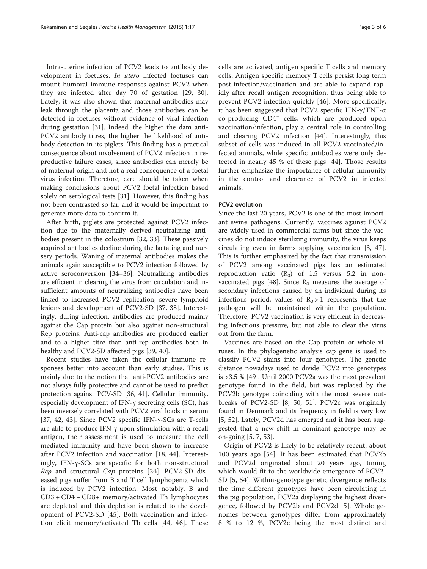Intra-uterine infection of PCV2 leads to antibody development in foetuses. In utero infected foetuses can mount humoral immune responses against PCV2 when they are infected after day 70 of gestation [\[29](#page-4-0), [30](#page-4-0)]. Lately, it was also shown that maternal antibodies may leak through the placenta and those antibodies can be detected in foetuses without evidence of viral infection during gestation [[31\]](#page-4-0). Indeed, the higher the dam anti-PCV2 antibody titres, the higher the likelihood of antibody detection in its piglets. This finding has a practical consequence about involvement of PCV2 infection in reproductive failure cases, since antibodies can merely be of maternal origin and not a real consequence of a foetal virus infection. Therefore, care should be taken when making conclusions about PCV2 foetal infection based solely on serological tests [[31](#page-4-0)]. However, this finding has not been contrasted so far, and it would be important to generate more data to confirm it.

After birth, piglets are protected against PCV2 infection due to the maternally derived neutralizing antibodies present in the colostrum [\[32, 33\]](#page-4-0). These passively acquired antibodies decline during the lactating and nursery periods. Waning of maternal antibodies makes the animals again susceptible to PCV2 infection followed by active seroconversion [\[34](#page-4-0)–[36\]](#page-4-0). Neutralizing antibodies are efficient in clearing the virus from circulation and insufficient amounts of neutralizing antibodies have been linked to increased PCV2 replication, severe lymphoid lesions and development of PCV2-SD [\[37](#page-4-0), [38\]](#page-4-0). Interestingly, during infection, antibodies are produced mainly against the Cap protein but also against non-structural Rep proteins. Anti-cap antibodies are produced earlier and to a higher titre than anti-rep antibodies both in healthy and PCV2-SD affected pigs [[39, 40\]](#page-4-0).

Recent studies have taken the cellular immune responses better into account than early studies. This is mainly due to the notion that anti-PCV2 antibodies are not always fully protective and cannot be used to predict protection against PCV-SD [\[36](#page-4-0), [41](#page-4-0)]. Cellular immunity, especially development of IFN-γ secreting cells (SC), has been inversely correlated with PCV2 viral loads in serum [[37, 42, 43\]](#page-4-0). Since PCV2 specific IFN- $\gamma$ -SCs are T-cells are able to produce IFN-γ upon stimulation with a recall antigen, their assessment is used to measure the cell mediated immunity and have been shown to increase after PCV2 infection and vaccination [\[18](#page-4-0), [44](#page-4-0)]. Interestingly, IFN-γ-SCs are specific for both non-structural Rep and structural Cap proteins [[24\]](#page-4-0). PCV2-SD diseased pigs suffer from B and T cell lymphopenia which is induced by PCV2 infection. Most notably, B and CD3 + CD4 + CD8+ memory/activated Th lymphocytes are depleted and this depletion is related to the development of PCV2-SD [[45\]](#page-4-0). Both vaccination and infection elicit memory/activated Th cells [[44, 46](#page-4-0)]. These

cells are activated, antigen specific T cells and memory cells. Antigen specific memory T cells persist long term post-infection/vaccination and are able to expand rapidly after recall antigen recognition, thus being able to prevent PCV2 infection quickly [[46\]](#page-4-0). More specifically, it has been suggested that PCV2 specific IFN-γ/TNF-α  $co$ -producing  $CD4^+$  cells, which are produced upon vaccination/infection, play a central role in controlling and clearing PCV2 infection [[44\]](#page-4-0). Interestingly, this subset of cells was induced in all PCV2 vaccinated/infected animals, while specific antibodies were only detected in nearly 45 % of these pigs [\[44](#page-4-0)]. Those results further emphasize the importance of cellular immunity in the control and clearance of PCV2 in infected animals.

## PCV2 evolution

Since the last 20 years, PCV2 is one of the most important swine pathogens. Currently, vaccines against PCV2 are widely used in commercial farms but since the vaccines do not induce sterilizing immunity, the virus keeps circulating even in farms applying vaccination [\[3](#page-3-0), [47](#page-4-0)]. This is further emphasized by the fact that transmission of PCV2 among vaccinated pigs has an estimated reproduction ratio  $(R_0)$  of 1.5 versus 5.2 in non-vaccinated pigs [[48\]](#page-5-0). Since  $R_0$  measures the average of secondary infections caused by an individual during its infectious period, values of  $R_0 > 1$  represents that the pathogen will be maintained within the population. Therefore, PCV2 vaccination is very efficient in decreasing infectious pressure, but not able to clear the virus out from the farm.

Vaccines are based on the Cap protein or whole viruses. In the phylogenetic analysis cap gene is used to classify PCV2 stains into four genotypes. The genetic distance nowadays used to divide PCV2 into genotypes is >3.5 % [\[49](#page-5-0)]. Until 2000 PCV2a was the most prevalent genotype found in the field, but was replaced by the PCV2b genotype coinciding with the most severe outbreaks of PCV2-SD [\[8](#page-4-0), [50](#page-5-0), [51](#page-5-0)]. PCV2c was originally found in Denmark and its frequency in field is very low [[5,](#page-3-0) [52](#page-5-0)]. Lately, PCV2d has emerged and it has been suggested that a new shift in dominant genotype may be on-going [\[5](#page-3-0), [7](#page-3-0), [53](#page-5-0)].

Origin of PCV2 is likely to be relatively recent, about 100 years ago [\[54](#page-5-0)]. It has been estimated that PCV2b and PCV2d originated about 20 years ago, timing which would fit to the worldwide emergence of PCV2- SD [[5,](#page-3-0) [54](#page-5-0)]. Within-genotype genetic divergence reflects the time different genotypes have been circulating in the pig population, PCV2a displaying the highest divergence, followed by PCV2b and PCV2d [\[5](#page-3-0)]. Whole genomes between genotypes differ from approximately 8 % to 12 %, PCV2c being the most distinct and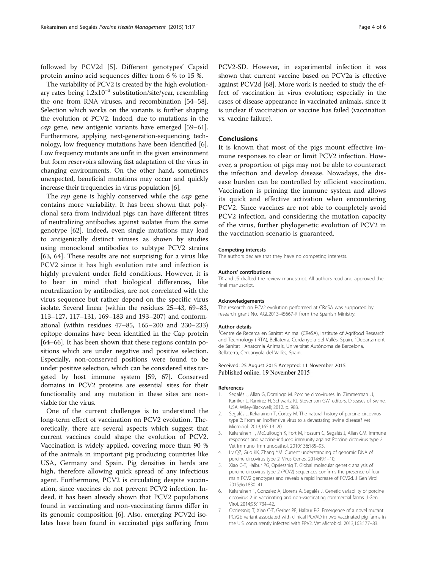<span id="page-3-0"></span>followed by PCV2d [5]. Different genotypes' Capsid protein amino acid sequences differ from 6 % to 15 %.

The variability of PCV2 is created by the high evolutionary rates being  $1.2x10^{-3}$  substitution/site/year, resembling the one from RNA viruses, and recombination [\[54](#page-5-0)–[58](#page-5-0)]. Selection which works on the variants is further shaping the evolution of PCV2. Indeed, due to mutations in the cap gene, new antigenic variants have emerged [\[59](#page-5-0)–[61](#page-5-0)]. Furthermore, applying next-generation-sequencing technology, low frequency mutations have been identified [6]. Low frequency mutants are unfit in the given environment but form reservoirs allowing fast adaptation of the virus in changing environments. On the other hand, sometimes unexpected, beneficial mutations may occur and quickly increase their frequencies in virus population [6].

The rep gene is highly conserved while the *cap* gene contains more variability. It has been shown that polyclonal sera from individual pigs can have different titres of neutralizing antibodies against isolates from the same genotype [\[62](#page-5-0)]. Indeed, even single mutations may lead to antigenically distinct viruses as shown by studies using monoclonal antibodies to subtype PCV2 strains [[63, 64](#page-5-0)]. These results are not surprising for a virus like PCV2 since it has high evolution rate and infection is highly prevalent under field conditions. However, it is to bear in mind that biological differences, like neutralization by antibodies, are not correlated with the virus sequence but rather depend on the specific virus isolate. Several linear (within the residues 25–43, 69–83, 113–127, 117–131, 169–183 and 193–207) and conformational (within residues 47–85, 165–200 and 230–233) epitope domains have been identified in the Cap protein [[64](#page-5-0)–[66\]](#page-5-0). It has been shown that these regions contain positions which are under negative and positive selection. Especially, non-conserved positions were found to be under positive selection, which can be considered sites targeted by host immune system [\[59, 67](#page-5-0)]. Conserved domains in PCV2 proteins are essential sites for their functionality and any mutation in these sites are nonviable for the virus.

One of the current challenges is to understand the long-term effect of vaccination on PCV2 evolution. Theoretically, there are several aspects which suggest that current vaccines could shape the evolution of PCV2. Vaccination is widely applied, covering more than 90 % of the animals in important pig producing countries like USA, Germany and Spain. Pig densities in herds are high, therefore allowing quick spread of any infectious agent. Furthermore, PCV2 is circulating despite vaccination, since vaccines do not prevent PCV2 infection. Indeed, it has been already shown that PCV2 populations found in vaccinating and non-vaccinating farms differ in its genomic composition [6]. Also, emerging PCV2d isolates have been found in vaccinated pigs suffering from

PCV2-SD. However, in experimental infection it was shown that current vaccine based on PCV2a is effective against PCV2d [\[68](#page-5-0)]. More work is needed to study the effect of vaccination in virus evolution; especially in the cases of disease appearance in vaccinated animals, since it is unclear if vaccination or vaccine has failed (vaccination vs. vaccine failure).

## Conclusions

It is known that most of the pigs mount effective immune responses to clear or limit PCV2 infection. However, a proportion of pigs may not be able to counteract the infection and develop disease. Nowadays, the disease burden can be controlled by efficient vaccination. Vaccination is priming the immune system and allows its quick and effective activation when encountering PCV2. Since vaccines are not able to completely avoid PCV2 infection, and considering the mutation capacity of the virus, further phylogenetic evolution of PCV2 in the vaccination scenario is guaranteed.

#### Competing interests

The authors declare that they have no competing interests.

#### Authors' contributions

TK and JS drafted the review manuscript. All authors read and approved the final manuscript.

#### Acknowledgements

The research on PCV2 evolution performed at CReSA was supported by research grant No. AGL2013-45667-R from the Spanish Ministry.

#### Author details

<sup>1</sup> Centre de Recerca en Sanitat Animal (CReSA), Institute of Agrifood Research and Technology (IRTA), Bellaterra, Cerdanyola del Vallès, Spain. <sup>2</sup>Departament de Sanitat i Anatomia Animals, Universitat Autònoma de Barcelona, Bellaterra, Cerdanyola del Vallès, Spain.

### Received: 25 August 2015 Accepted: 11 November 2015 Published online: 19 November 2015

#### References

- 1. Segalés J, Allan G, Domingo M. Porcine circoviruses. In: Zimmerman JJ, Karriker L, Ramirez H, Schwartz KJ, Stevenson GW, editors. Diseases of Swine. USA: Wiley-Blackwell; 2012. p. 983.
- 2. Segalés J, Kekarainen T, Cortey M. The natural history of porcine circovirus type 2: From an inoffensive virus to a devastating swine disease? Vet Microbiol. 2013;165:13–20.
- 3. Kekarainen T, McCullough K, Fort M, Fossum C, Segalés J, Allan GM. Immune responses and vaccine-induced immunity against Porcine circovirus type 2. Vet Immunol Immunopathol. 2010;136:185–93.
- 4. Lv QZ, Guo KK, Zhang YM. Current understanding of genomic DNA of porcine circovirus type 2. Virus Genes. 2014;49:1–10.
- 5. Xiao C-T, Halbur PG, Opriessnig T. Global molecular genetic analysis of porcine circovirus type 2 (PCV2) sequences confirms the presence of four main PCV2 genotypes and reveals a rapid increase of PCV2d. J Gen Virol. 2015;96:1830–41.
- 6. Kekarainen T, Gonzalez A, Llorens A, Segalés J. Genetic variability of porcine circovirus 2 in vaccinating and non-vaccinating commercial farms. J Gen Virol. 2014;95:1734–42.
- 7. Opriessnig T, Xiao C-T, Gerber PF, Halbur PG. Emergence of a novel mutant PCV2b variant associated with clinical PCVAD in two vaccinated pig farms in the U.S. concurrently infected with PPV2. Vet Microbiol. 2013;163:177–83.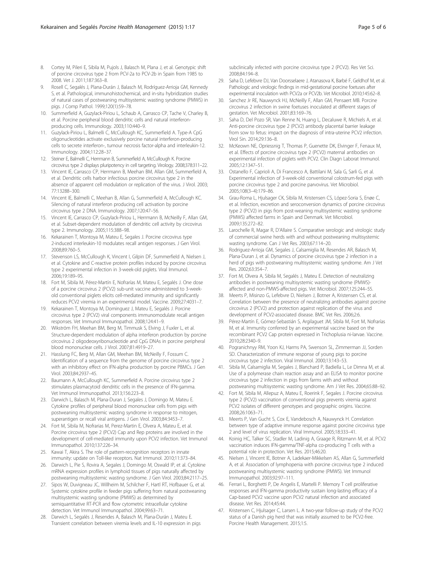- <span id="page-4-0"></span>8. Cortey M, Pileri E, Sibila M, Pujols J, Balasch M, Plana J, et al. Genotypic shift of porcine circovirus type 2 from PCV-2a to PCV-2b in Spain from 1985 to 2008. Vet J. 2011;187:363–8.
- Rosell C, Segalés J, Plana-Durán J, Balasch M, Rodríguez-Arrioja GM, Kennedy S, et al. Pathological, immunohistochemical, and in-situ hybridization studies of natural cases of postweaning multisystemic wasting syndrome (PMWS) in pigs. J Comp Pathol. 1999;120(1):59–78.
- 10. Summerfield A, Guzylack-Piriou L, Schaub A, Carrasco CP, Tache V, Charley B, et al. Porcine peripheral blood dendritic cells and natural interferonproducing cells. Immunology. 2003;110:440–9.
- 11. Guzylack-Piriou L, Balmelli C, McCullough KC, Summerfield A. Type-A CpG oligonucleotides activate exclusively porcine natural interferon-producing cells to secrete interferon-, tumour necrosis factor-alpha and interleukin-12. Immunology. 2004;112:28–37.
- 12. Steiner E, Balmelli C, Herrmann B, Summerfield A, McCullough K. Porcine circovirus type 2 displays pluripotency in cell targeting. Virology. 2008;378:311–22.
- 13. Vincent IE, Carrasco CP, Herrmann B, Meehan BM, Allan GM, Summerfield A, et al. Dendritic cells harbor infectious porcine circovirus type 2 in the absence of apparent cell modulation or replication of the virus. J Virol. 2003; 77:13288–300.
- 14. Vincent IE, Balmelli C, Meehan B, Allan G, Summerfield A, McCullough KC. Silencing of natural interferon producing cell activation by porcine circovirus type 2 DNA. Immunology. 2007;120:47–56.
- 15. Vincent IE, Carrasco CP, Guzylack-Piriou L, Herrmann B, McNeilly F, Allan GM, et al. Subset-dependent modulation of dendritic cell activity by circovirus type 2. Immunology. 2005;115:388–98.
- 16. Kekarainen T, Montoya M, Mateu E, Segales J. Porcine circovirus type 2-induced interleukin-10 modulates recall antigen responses. J Gen Virol. 2008;89:760–5.
- 17. Stevenson LS, McCullough K, Vincent I, Gilpin DF, Summerfield A, Nielsen J, et al. Cytokine and C-reactive protein profiles induced by porcine circovirus type 2 experimental infection in 3-week-old piglets. Viral Immunol. 2006;19:189–95.
- 18. Fort M, Sibila M, Pérez-Martín E, Nofrarías M, Mateu E, Segalés J. One dose of a porcine circovirus 2 (PCV2) sub-unit vaccine administered to 3-weekold conventional piglets elicits cell-mediated immunity and significantly reduces PCV2 viremia in an experimental model. Vaccine. 2009;27:4031–7.
- 19. Kekarainen T, Montoya M, Dominguez J, Mateu E, Segalés J. Porcine circovirus type 2 (PCV2) viral components immunomodulate recall antigen responses. Vet Immunol Immunopathol. 2008;124:41–9.
- 20. Wikström FH, Meehan BM, Berg M, Timmusk S, Elving J, Fuxler L, et al. Structure-dependent modulation of alpha interferon production by porcine circovirus 2 oligodeoxyribonucleotide and CpG DNAs in porcine peripheral blood mononuclear cells. J Virol. 2007;81:4919–27.
- 21. Hasslung FC, Berg M, Allan GM, Meehan BM, McNeilly F, Fossum C. Identification of a sequence from the genome of porcine circovirus type 2 with an inhibitory effect on IFN-alpha production by porcine PBMCs. J Gen Virol. 2003;84:2937–45.
- 22. Baumann A, McCullough KC, Summerfield A. Porcine circovirus type 2 stimulates plasmacytoid dendritic cells in the presence of IFN-gamma. Vet Immunol Immunopathol. 2013;156:223–8.
- 23. Darwich L, Balasch M, Plana-Duran J, Segales J, Domingo M, Mateu E. Cytokine profiles of peripheral blood mononuclear cells from pigs with postweaning multisystemic wasting syndrome in response to mitogen, superantigen or recall viral antigens. J Gen Virol. 2003;84:3453–7.
- 24. Fort M, Sibila M, Nofrarias M, Perez-Martin E, Olvera A, Mateu E, et al. Porcine circovirus type 2 (PCV2) Cap and Rep proteins are involved in the development of cell-mediated immunity upon PCV2 infection. Vet Immunol Immunopathol. 2010;137:226–34.
- 25. Kawai T, Akira S. The role of pattern-recognition receptors in innate immunity: update on Toll-like receptors. Nat Immunol. 2010;11:373–84.
- 26. Darwich L, Pie S, Rovira A, Segales J, Domingo M, Oswald IP, et al. Cytokine mRNA expression profiles in lymphoid tissues of pigs naturally affected by postweaning multisystemic wasting syndrome. J Gen Virol. 2003;84:2117–25.
- 27. Sipos W, Duvigneau JC, Willheim M, Schilcher F, Hartl RT, Hofbauer G, et al. Systemic cytokine profile in feeder pigs suffering from natural postweaning multisystemic wasting syndrome (PMWS) as determined by semiquantitative RT-PCR and flow cytometric intracellular cytokine detection. Vet Immunol Immunopathol. 2004;99:63–71.
- 28. Darwich L, Segalés J, Resendes A, Balasch M, Plana-Durán J, Mateu E. Transient correlation between viremia levels and IL-10 expression in pigs

subclinically infected with porcine circovirus type 2 (PCV2). Res Vet Sci. 2008;84:194–8.

- 29. Saha D, Lefebvre DJ, Van Doorsselaere J, Atanasova K, Barbé F, Geldhof M, et al. Pathologic and virologic findings in mid-gestational porcine foetuses after experimental inoculation with PCV2a or PCV2b. Vet Microbiol. 2010;145:62–8.
- 30. Sanchez Jr RE, Nauwynck HJ, McNeilly F, Allan GM, Pensaert MB. Porcine circovirus 2 infection in swine foetuses inoculated at different stages of gestation. Vet Microbiol. 2001;83:169–76.
- 31. Saha D, Del Pozo SR, Van Renne N, Huang L, Decaluwe R, Michiels A, et al. Anti-porcine circovirus type 2 (PCV2) antibody placental barrier leakage from sow to fetus: impact on the diagnosis of intra-uterine PCV2 infection. Virol Sin. 2014;29:136–8.
- 32. McKeown NE, Opriessnig T, Thomas P, Guenette DK, Elvinger F, Fenaux M, et al. Effects of porcine circovirus type 2 (PCV2) maternal antibodies on experimental infection of piglets with PCV2. Clin Diagn Laborat Immunol. 2005;12:1347–51.
- 33. Ostanello F, Caprioli A, Di Francesco A, Battilani M, Sala G, Sarli G, et al. Experimental infection of 3-week-old conventional colostrum-fed pigs with porcine circovirus type 2 and porcine parvovirus. Vet Microbiol. 2005;108(3–4):179–86.
- 34. Grau-Roma L, Hjulsager CK, Sibila M, Kristensen CS, López-Soria S, Enøe C, et al. Infection, excretion and seroconversion dynamics of porcine circovirus type 2 (PCV2) in pigs from post-weaning multisystemic wasting syndrome (PMWS) affected farms in Spain and Denmark. Vet Microbiol. 2009;135:272–82.
- 35. Larochelle R, Magar R, D'Allaire S. Comparative serologic and virologic study of commercial swine herds with and without postweaning multisystemic wasting syndrome. Can J Vet Res. 2003;67:114–20.
- 36. Rodriguez-Arrioja GM, Segales J, Calsamiglia M, Resendes AR, Balasch M, Plana-Duran J, et al. Dynamics of porcine circovirus type 2 infection in a herd of pigs with postweaning multisystemic wasting syndrome. Am J Vet Res. 2002;63:354–7.
- 37. Fort M, Olvera A, Sibila M, Segalés J, Mateu E. Detection of neutralizing antibodies in postweaning multisystemic wasting syndrome (PMWS) affected and non-PMWS-affected pigs. Vet Microbiol. 2007;125:244–55.
- 38. Meerts P, Misinzo G, Lefebvre D, Nielsen J, Botner A, Kristensen CS, et al. Correlation between the presence of neutralizing antibodies against porcine circovirus 2 (PCV2) and protection against replication of the virus and development of PCV2-associated disease. BMC Vet Res. 2006;2:6.
- 39. Pérez-Martín E, Gómez-Sebastián S, Argilaguet JM, Sibila M, Fort M, Nofrarías M, et al. Immunity conferred by an experimental vaccine based on the recombinant PCV2 Cap protein expressed in Trichoplusia ni-larvae. Vaccine. 2010;28:2340–9.
- 40. Pogranichnyy RM, Yoon KJ, Harms PA, Swenson SL, Zimmerman JJ, Sorden SD. Characterization of immune response of young pigs to porcine circovirus type 2 infection. Viral Immunol. 2000;13:143–53.
- 41. Sibila M, Calsamiglia M, Segales J, Blanchard P, Badiella L, Le Dimna M, et al. Use of a polymerase chain reaction assay and an ELISA to monitor porcine circovirus type 2 infection in pigs from farms with and without postweaning multisystemic wasting syndrome. Am J Vet Res. 2004;65:88–92.
- 42. Fort M, Sibila M, Allepuz A, Mateu E, Roerink F, Segales J. Porcine circovirus type 2 (PCV2) vaccination of conventional pigs prevents viremia against PCV2 isolates of different genotypes and geographic origins. Vaccine. 2008;26:1063–71.
- 43. Meerts P, Van Gucht S, Cox E, Vandebosch A, Nauwynck H. Correlation between type of adaptive immune response against porcine circovirus type 2 and level of virus replication. Viral Immunol. 2005;18:333–41.
- 44. Koinig HC, Talker SC, Stadler M, Ladinig A, Graage R, Ritzmann M, et al. PCV2 vaccination induces IFN-gamma/TNF-alpha co-producing T cells with a potential role in protection. Vet Res. 2015;46:20.
- 45. Nielsen J, Vincent IE, Botner A, Ladekaer-Mikkelsen AS, Allan G, Summerfield A, et al. Association of lymphopenia with porcine circovirus type 2 induced postweaning multisystemic wasting syndrome (PMWS). Vet Immunol Immunopathol. 2003;92:97–111.
- 46. Ferrari L, Borghetti P, De Angelis E, Martelli P. Memory T cell proliferative responses and IFN-gamma productivity sustain long-lasting efficacy of a Cap-based PCV2 vaccine upon PCV2 natural infection and associated disease. Vet Res. 2014;45:44.
- 47. Kristensen C, Hjulsager C, Larsen L. A two-year follow-up study of the PCV2 status of a Danish pig herd that was initially assumed to be PCV2-free. Porcine Health Management. 2015;1:5.